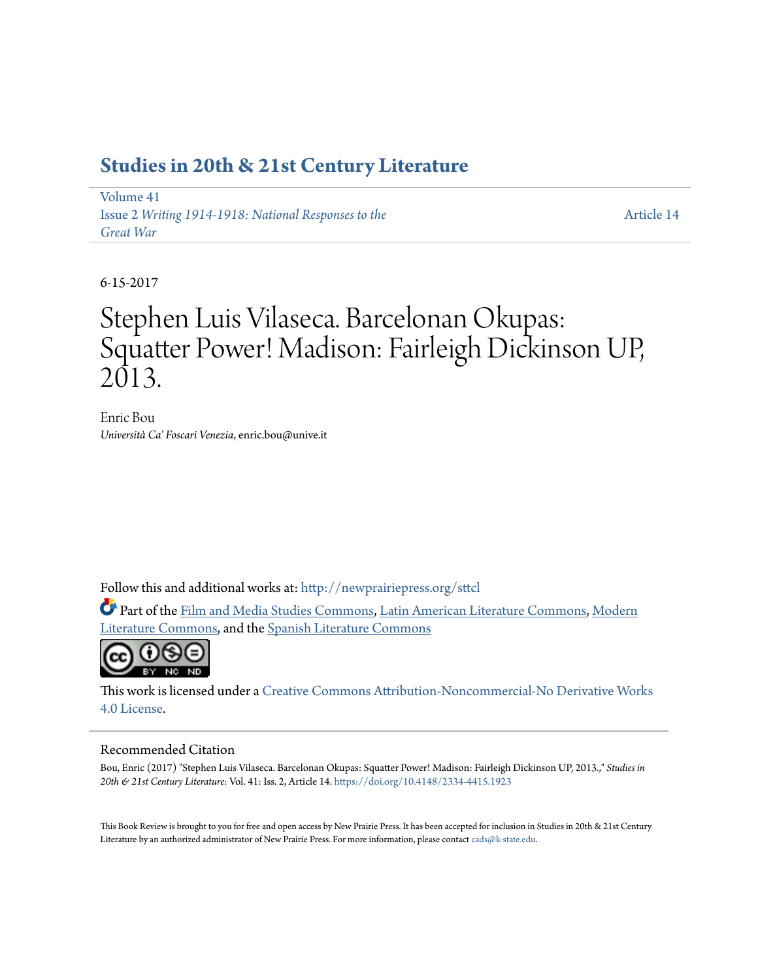### **[Studies in 20th & 21st Century Literature](http://newprairiepress.org/sttcl?utm_source=newprairiepress.org%2Fsttcl%2Fvol41%2Fiss2%2F14&utm_medium=PDF&utm_campaign=PDFCoverPages)**

[Volume 41](http://newprairiepress.org/sttcl/vol41?utm_source=newprairiepress.org%2Fsttcl%2Fvol41%2Fiss2%2F14&utm_medium=PDF&utm_campaign=PDFCoverPages) Issue 2 *[Writing 1914-1918: National Responses to the](http://newprairiepress.org/sttcl/vol41/iss2?utm_source=newprairiepress.org%2Fsttcl%2Fvol41%2Fiss2%2F14&utm_medium=PDF&utm_campaign=PDFCoverPages) [Great War](http://newprairiepress.org/sttcl/vol41/iss2?utm_source=newprairiepress.org%2Fsttcl%2Fvol41%2Fiss2%2F14&utm_medium=PDF&utm_campaign=PDFCoverPages)*

[Article 14](http://newprairiepress.org/sttcl/vol41/iss2/14?utm_source=newprairiepress.org%2Fsttcl%2Fvol41%2Fiss2%2F14&utm_medium=PDF&utm_campaign=PDFCoverPages)

6-15-2017

# Stephen Luis Vilaseca. Barcelonan Okupas: Squatter Power! Madison: Fairleigh Dickinson UP, 2013.

Enric Bou *Università Ca' Foscari Venezia*, enric.bou@unive.it

Follow this and additional works at: [http://newprairiepress.org/sttcl](http://newprairiepress.org/sttcl?utm_source=newprairiepress.org%2Fsttcl%2Fvol41%2Fiss2%2F14&utm_medium=PDF&utm_campaign=PDFCoverPages)

Part of the [Film and Media Studies Commons](http://network.bepress.com/hgg/discipline/563?utm_source=newprairiepress.org%2Fsttcl%2Fvol41%2Fiss2%2F14&utm_medium=PDF&utm_campaign=PDFCoverPages), [Latin American Literature Commons,](http://network.bepress.com/hgg/discipline/547?utm_source=newprairiepress.org%2Fsttcl%2Fvol41%2Fiss2%2F14&utm_medium=PDF&utm_campaign=PDFCoverPages) [Modern](http://network.bepress.com/hgg/discipline/1050?utm_source=newprairiepress.org%2Fsttcl%2Fvol41%2Fiss2%2F14&utm_medium=PDF&utm_campaign=PDFCoverPages) [Literature Commons,](http://network.bepress.com/hgg/discipline/1050?utm_source=newprairiepress.org%2Fsttcl%2Fvol41%2Fiss2%2F14&utm_medium=PDF&utm_campaign=PDFCoverPages) and the [Spanish Literature Commons](http://network.bepress.com/hgg/discipline/550?utm_source=newprairiepress.org%2Fsttcl%2Fvol41%2Fiss2%2F14&utm_medium=PDF&utm_campaign=PDFCoverPages)



This work is licensed under a [Creative Commons Attribution-Noncommercial-No Derivative Works](http://creativecommons.org/licenses/by-nc-nd/4.0/) [4.0 License.](http://creativecommons.org/licenses/by-nc-nd/4.0/)

#### Recommended Citation

Bou, Enric (2017) "Stephen Luis Vilaseca. Barcelonan Okupas: Squatter Power! Madison: Fairleigh Dickinson UP, 2013.," *Studies in 20th & 21st Century Literature*: Vol. 41: Iss. 2, Article 14. <https://doi.org/10.4148/2334-4415.1923>

This Book Review is brought to you for free and open access by New Prairie Press. It has been accepted for inclusion in Studies in 20th & 21st Century Literature by an authorized administrator of New Prairie Press. For more information, please contact [cads@k-state.edu.](mailto:cads@k-state.edu)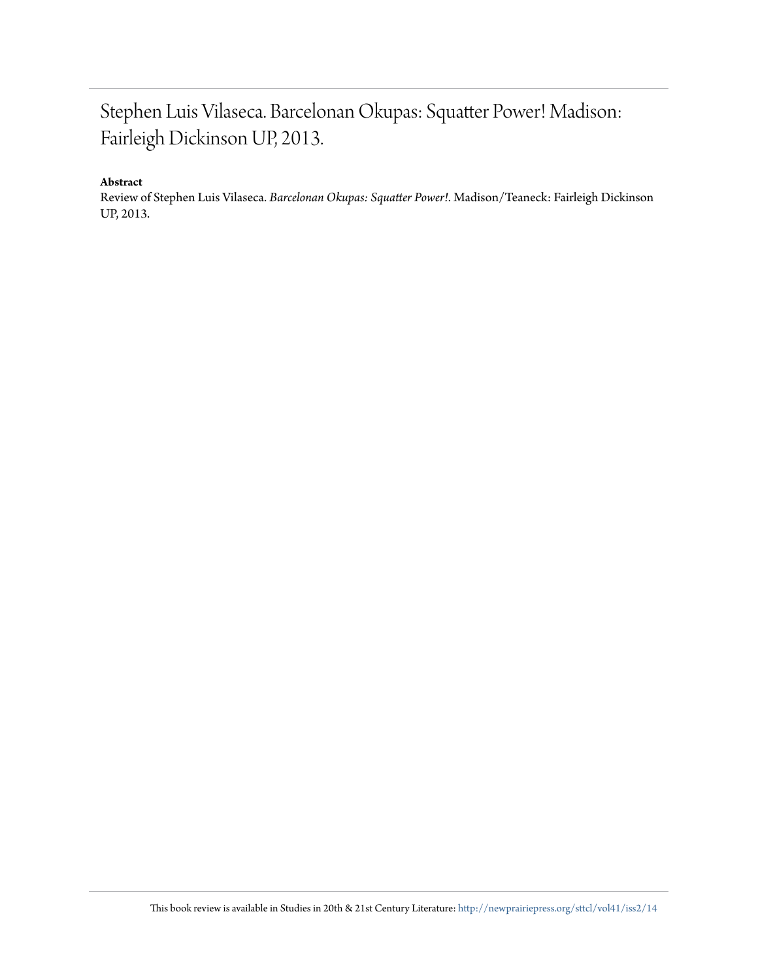## Stephen Luis Vilaseca. Barcelonan Okupas: Squatter Power! Madison: Fairleigh Dickinson UP, 2013.

#### **Abstract**

Review of Stephen Luis Vilaseca. *Barcelonan Okupas: Squatter Power!*. Madison/Teaneck: Fairleigh Dickinson UP, 2013.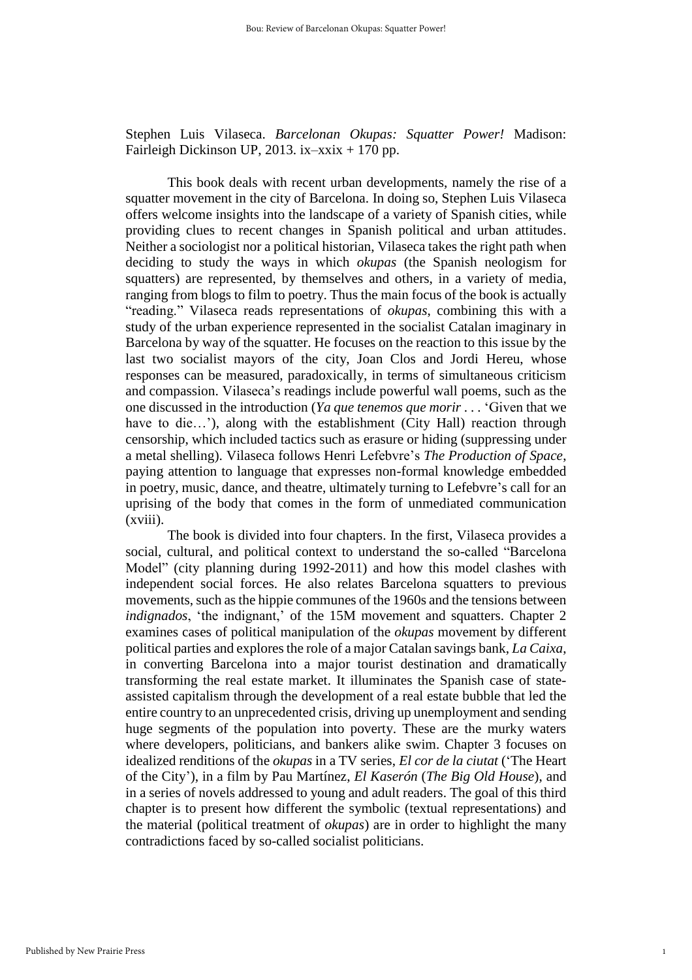Stephen Luis Vilaseca. *Barcelonan Okupas: Squatter Power!* Madison: Fairleigh Dickinson UP, 2013. ix–xxix + 170 pp.

This book deals with recent urban developments, namely the rise of a squatter movement in the city of Barcelona. In doing so, Stephen Luis Vilaseca offers welcome insights into the landscape of a variety of Spanish cities, while providing clues to recent changes in Spanish political and urban attitudes. Neither a sociologist nor a political historian, Vilaseca takes the right path when deciding to study the ways in which *okupas* (the Spanish neologism for squatters) are represented, by themselves and others, in a variety of media, ranging from blogs to film to poetry. Thus the main focus of the book is actually "reading." Vilaseca reads representations of *okupas*, combining this with a study of the urban experience represented in the socialist Catalan imaginary in Barcelona by way of the squatter. He focuses on the reaction to this issue by the last two socialist mayors of the city, Joan Clos and Jordi Hereu, whose responses can be measured, paradoxically, in terms of simultaneous criticism and compassion. Vilaseca's readings include powerful wall poems, such as the one discussed in the introduction (*Ya que tenemos que morir . . .* 'Given that we have to die...'), along with the establishment (City Hall) reaction through censorship, which included tactics such as erasure or hiding (suppressing under a metal shelling). Vilaseca follows Henri Lefebvre's *The Production of Space*, paying attention to language that expresses non-formal knowledge embedded in poetry, music, dance, and theatre, ultimately turning to Lefebvre's call for an uprising of the body that comes in the form of unmediated communication (xviii).

The book is divided into four chapters. In the first, Vilaseca provides a social, cultural, and political context to understand the so-called "Barcelona Model" (city planning during 1992-2011) and how this model clashes with independent social forces. He also relates Barcelona squatters to previous movements, such as the hippie communes of the 1960s and the tensions between *indignados*, 'the indignant,' of the 15M movement and squatters. Chapter 2 examines cases of political manipulation of the *okupas* movement by different political parties and explores the role of a major Catalan savings bank, *La Caixa*, in converting Barcelona into a major tourist destination and dramatically transforming the real estate market. It illuminates the Spanish case of stateassisted capitalism through the development of a real estate bubble that led the entire country to an unprecedented crisis, driving up unemployment and sending huge segments of the population into poverty. These are the murky waters where developers, politicians, and bankers alike swim. Chapter 3 focuses on idealized renditions of the *okupas* in a TV series, *El cor de la ciutat* ('The Heart of the City'), in a film by Pau Martínez, *El Kaserón* (*The Big Old House*), and in a series of novels addressed to young and adult readers. The goal of this third chapter is to present how different the symbolic (textual representations) and the material (political treatment of *okupas*) are in order to highlight the many contradictions faced by so-called socialist politicians.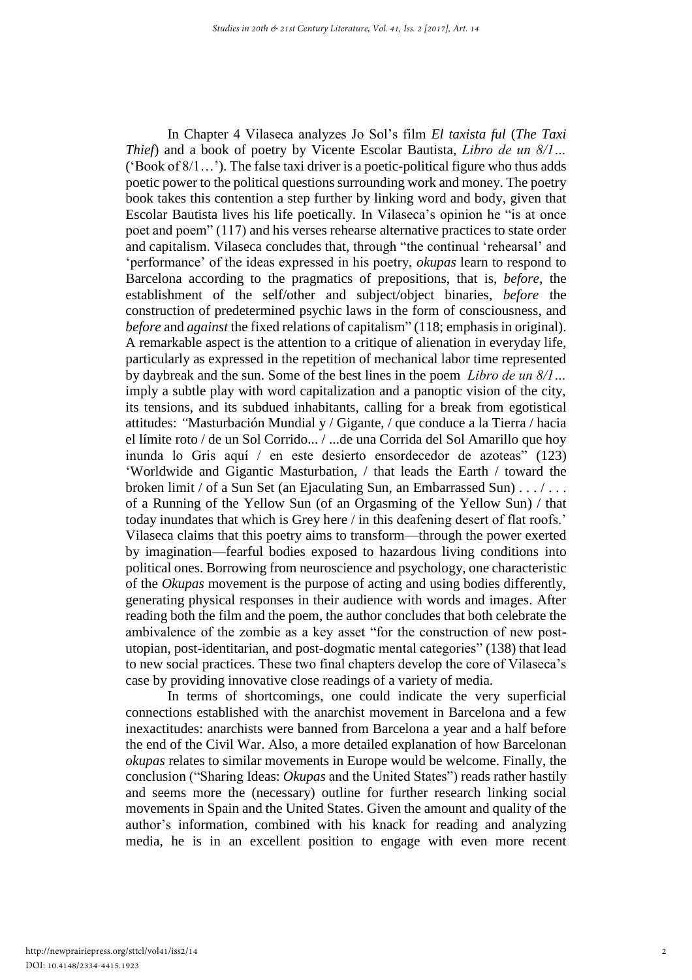In Chapter 4 Vilaseca analyzes Jo Sol's film *El taxista ful* (*The Taxi Thief*) and a book of poetry by Vicente Escolar Bautista, *Libro de un 8/1...* ('Book of 8/1…'). The false taxi driver is a poetic-political figure who thus adds poetic power to the political questions surrounding work and money. The poetry book takes this contention a step further by linking word and body, given that Escolar Bautista lives his life poetically. In Vilaseca's opinion he "is at once poet and poem" (117) and his verses rehearse alternative practices to state order and capitalism. Vilaseca concludes that, through "the continual 'rehearsal' and 'performance' of the ideas expressed in his poetry, *okupas* learn to respond to Barcelona according to the pragmatics of prepositions, that is, *before*, the establishment of the self/other and subject/object binaries, *before* the construction of predetermined psychic laws in the form of consciousness, and *before* and *against* the fixed relations of capitalism" (118; emphasis in original). A remarkable aspect is the attention to a critique of alienation in everyday life, particularly as expressed in the repetition of mechanical labor time represented by daybreak and the sun. Some of the best lines in the poem *Libro de un 8/1…* imply a subtle play with word capitalization and a panoptic vision of the city, its tensions, and its subdued inhabitants, calling for a break from egotistical attitudes: *"*Masturbación Mundial y / Gigante, / que conduce a la Tierra / hacia el límite roto / de un Sol Corrido... / ...de una Corrida del Sol Amarillo que hoy inunda lo Gris aquí / en este desierto ensordecedor de azoteas" (123) 'Worldwide and Gigantic Masturbation, / that leads the Earth / toward the broken limit / of a Sun Set (an Ejaculating Sun, an Embarrassed Sun) . . . / . . . of a Running of the Yellow Sun (of an Orgasming of the Yellow Sun) / that today inundates that which is Grey here / in this deafening desert of flat roofs.' Vilaseca claims that this poetry aims to transform—through the power exerted by imagination—fearful bodies exposed to hazardous living conditions into political ones. Borrowing from neuroscience and psychology, one characteristic of the *Okupas* movement is the purpose of acting and using bodies differently, generating physical responses in their audience with words and images. After reading both the film and the poem, the author concludes that both celebrate the ambivalence of the zombie as a key asset "for the construction of new postutopian, post-identitarian, and post-dogmatic mental categories" (138) that lead to new social practices. These two final chapters develop the core of Vilaseca's case by providing innovative close readings of a variety of media.

In terms of shortcomings, one could indicate the very superficial connections established with the anarchist movement in Barcelona and a few inexactitudes: anarchists were banned from Barcelona a year and a half before the end of the Civil War. Also, a more detailed explanation of how Barcelonan *okupas* relates to similar movements in Europe would be welcome. Finally, the conclusion ("Sharing Ideas: *Okupas* and the United States") reads rather hastily and seems more the (necessary) outline for further research linking social movements in Spain and the United States. Given the amount and quality of the author's information, combined with his knack for reading and analyzing media, he is in an excellent position to engage with even more recent